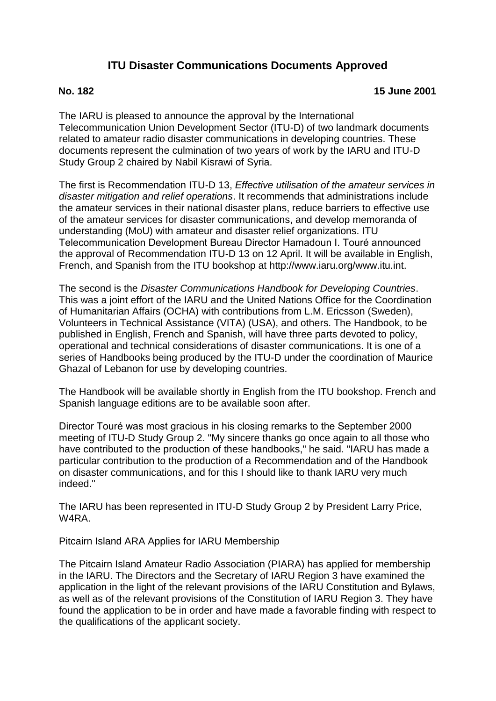# **ITU Disaster Communications Documents Approved**

## **No. 182 15 June 2001**

The IARU is pleased to announce the approval by the International Telecommunication Union Development Sector (ITU-D) of two landmark documents related to amateur radio disaster communications in developing countries. These documents represent the culmination of two years of work by the IARU and ITU-D Study Group 2 chaired by Nabil Kisrawi of Syria.

The first is Recommendation ITU-D 13, *Effective utilisation of the amateur services in disaster mitigation and relief operations*. It recommends that administrations include the amateur services in their national disaster plans, reduce barriers to effective use of the amateur services for disaster communications, and develop memoranda of understanding (MoU) with amateur and disaster relief organizations. ITU Telecommunication Development Bureau Director Hamadoun I. Touré announced the approval of Recommendation ITU-D 13 on 12 April. It will be available in English, French, and Spanish from the ITU bookshop at http://www.iaru.org/www.itu.int.

The second is the *Disaster Communications Handbook for Developing Countries*. This was a joint effort of the IARU and the United Nations Office for the Coordination of Humanitarian Affairs (OCHA) with contributions from L.M. Ericsson (Sweden), Volunteers in Technical Assistance (VITA) (USA), and others. The Handbook, to be published in English, French and Spanish, will have three parts devoted to policy, operational and technical considerations of disaster communications. It is one of a series of Handbooks being produced by the ITU-D under the coordination of Maurice Ghazal of Lebanon for use by developing countries.

The Handbook will be available shortly in English from the ITU bookshop. French and Spanish language editions are to be available soon after.

Director Touré was most gracious in his closing remarks to the September 2000 meeting of ITU-D Study Group 2. "My sincere thanks go once again to all those who have contributed to the production of these handbooks," he said. "IARU has made a particular contribution to the production of a Recommendation and of the Handbook on disaster communications, and for this I should like to thank IARU very much indeed."

The IARU has been represented in ITU-D Study Group 2 by President Larry Price, W4RA.

Pitcairn Island ARA Applies for IARU Membership

The Pitcairn Island Amateur Radio Association (PIARA) has applied for membership in the IARU. The Directors and the Secretary of IARU Region 3 have examined the application in the light of the relevant provisions of the IARU Constitution and Bylaws, as well as of the relevant provisions of the Constitution of IARU Region 3. They have found the application to be in order and have made a favorable finding with respect to the qualifications of the applicant society.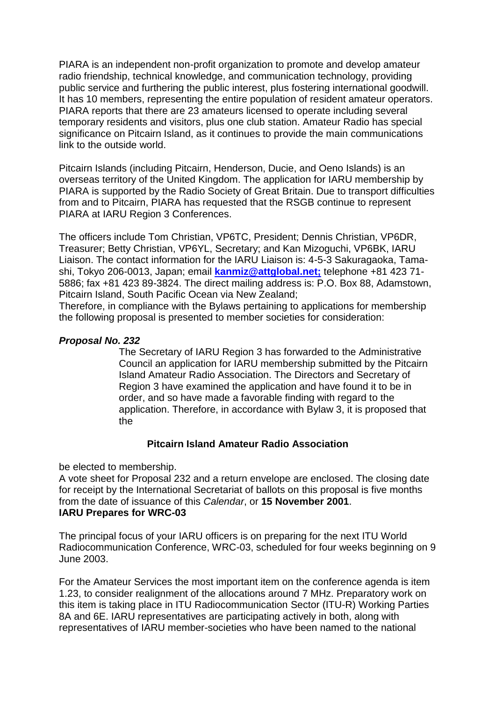PIARA is an independent non-profit organization to promote and develop amateur radio friendship, technical knowledge, and communication technology, providing public service and furthering the public interest, plus fostering international goodwill. It has 10 members, representing the entire population of resident amateur operators. PIARA reports that there are 23 amateurs licensed to operate including several temporary residents and visitors, plus one club station. Amateur Radio has special significance on Pitcairn Island, as it continues to provide the main communications link to the outside world.

Pitcairn Islands (including Pitcairn, Henderson, Ducie, and Oeno Islands) is an overseas territory of the United Kingdom. The application for IARU membership by PIARA is supported by the Radio Society of Great Britain. Due to transport difficulties from and to Pitcairn, PIARA has requested that the RSGB continue to represent PIARA at IARU Region 3 Conferences.

The officers include Tom Christian, VP6TC, President; Dennis Christian, VP6DR, Treasurer; Betty Christian, VP6YL, Secretary; and Kan Mizoguchi, VP6BK, IARU Liaison. The contact information for the IARU Liaison is: 4-5-3 Sakuragaoka, Tamashi, Tokyo 206-0013, Japan; email **[kanmiz@attglobal.net;](mailto:kanmiz@attglobal.net;)** telephone +81 423 71- 5886; fax +81 423 89-3824. The direct mailing address is: P.O. Box 88, Adamstown, Pitcairn Island, South Pacific Ocean via New Zealand;

Therefore, in compliance with the Bylaws pertaining to applications for membership the following proposal is presented to member societies for consideration:

### *Proposal No. 232*

The Secretary of IARU Region 3 has forwarded to the Administrative Council an application for IARU membership submitted by the Pitcairn Island Amateur Radio Association. The Directors and Secretary of Region 3 have examined the application and have found it to be in order, and so have made a favorable finding with regard to the application. Therefore, in accordance with Bylaw 3, it is proposed that the

#### **Pitcairn Island Amateur Radio Association**

be elected to membership.

A vote sheet for Proposal 232 and a return envelope are enclosed. The closing date for receipt by the International Secretariat of ballots on this proposal is five months from the date of issuance of this *Calendar*, or **15 November 2001**. **IARU Prepares for WRC-03**

The principal focus of your IARU officers is on preparing for the next ITU World Radiocommunication Conference, WRC-03, scheduled for four weeks beginning on 9 June 2003.

For the Amateur Services the most important item on the conference agenda is item 1.23, to consider realignment of the allocations around 7 MHz. Preparatory work on this item is taking place in ITU Radiocommunication Sector (ITU-R) Working Parties 8A and 6E. IARU representatives are participating actively in both, along with representatives of IARU member-societies who have been named to the national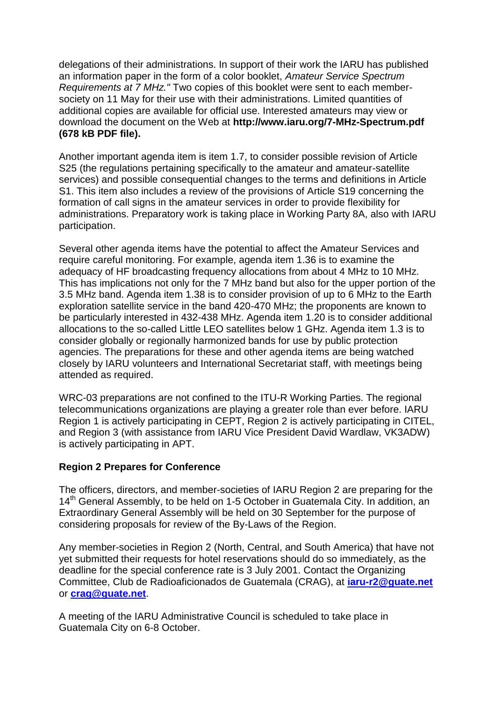delegations of their administrations. In support of their work the IARU has published an information paper in the form of a color booklet, *Amateur Service Spectrum Requirements at 7 MHz."* Two copies of this booklet were sent to each membersociety on 11 May for their use with their administrations. Limited quantities of additional copies are available for official use. Interested amateurs may view or download the document on the Web at **http://www.iaru.org/7-MHz-Spectrum.pdf (678 kB PDF file).**

Another important agenda item is item 1.7, to consider possible revision of Article S25 (the regulations pertaining specifically to the amateur and amateur-satellite services) and possible consequential changes to the terms and definitions in Article S1. This item also includes a review of the provisions of Article S19 concerning the formation of call signs in the amateur services in order to provide flexibility for administrations. Preparatory work is taking place in Working Party 8A, also with IARU participation.

Several other agenda items have the potential to affect the Amateur Services and require careful monitoring. For example, agenda item 1.36 is to examine the adequacy of HF broadcasting frequency allocations from about 4 MHz to 10 MHz. This has implications not only for the 7 MHz band but also for the upper portion of the 3.5 MHz band. Agenda item 1.38 is to consider provision of up to 6 MHz to the Earth exploration satellite service in the band 420-470 MHz; the proponents are known to be particularly interested in 432-438 MHz. Agenda item 1.20 is to consider additional allocations to the so-called Little LEO satellites below 1 GHz. Agenda item 1.3 is to consider globally or regionally harmonized bands for use by public protection agencies. The preparations for these and other agenda items are being watched closely by IARU volunteers and International Secretariat staff, with meetings being attended as required.

WRC-03 preparations are not confined to the ITU-R Working Parties. The regional telecommunications organizations are playing a greater role than ever before. IARU Region 1 is actively participating in CEPT, Region 2 is actively participating in CITEL, and Region 3 (with assistance from IARU Vice President David Wardlaw, VK3ADW) is actively participating in APT.

## **Region 2 Prepares for Conference**

The officers, directors, and member-societies of IARU Region 2 are preparing for the 14<sup>th</sup> General Assembly, to be held on 1-5 October in Guatemala City. In addition, an Extraordinary General Assembly will be held on 30 September for the purpose of considering proposals for review of the By-Laws of the Region.

Any member-societies in Region 2 (North, Central, and South America) that have not yet submitted their requests for hotel reservations should do so immediately, as the deadline for the special conference rate is 3 July 2001. Contact the Organizing Committee, Club de Radioaficionados de Guatemala (CRAG), at **[iaru-r2@guate.net](mailto:iaru-r2@guate.net)** or **[crag@guate.net](mailto:crag@guate.net)**.

A meeting of the IARU Administrative Council is scheduled to take place in Guatemala City on 6-8 October.